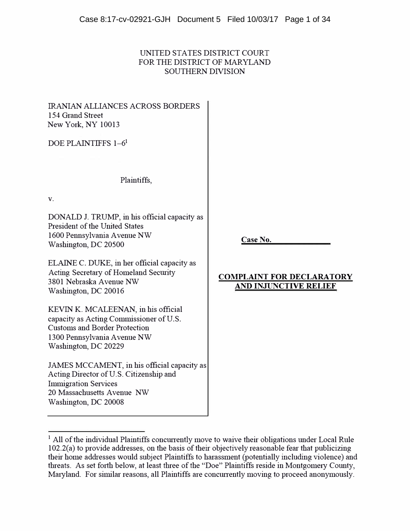# UNITED STATES DISTRICT COURT FOR THE DISTRICT OF MARYLAND SOUTHERN DIVISION

IRANIAN ALLIANCES ACROSS BORDERS 154 Grand Street New York, NY 10013

DOE PLAINTIFFS 1–6<sup>1</sup>

Plaintiffs,

**V.** 

DONALD J. TRUMP, in his official capacity as President of the United States 1600 Pennsylvania A venue NW Washington, DC 20500

ELAINE C. DUKE, in her official capacity as Acting Secretaiy of Homeland Secmity 3801 Nebraska Avenue NW Washington, DC 20016

KEVIN K. MCALEENAN, in his official capacity as Acting Commissioner of U.S. Customs and Border Protection 1300 Pennsylvania A venue NW Washington, DC 20229

JAMES MCCAMENT, in his official capacity as Acting Director of U.S. Citizenship and Immigration Services 20 Massachusetts A venue NW Washington, DC 20008

**Case No.** 

# **COMPLAINT FOR DECLARATORY AND INJUNCTIVE RELIEF**

 $<sup>1</sup>$  All of the individual Plaintiffs concurrently move to waive their obligations under Local Rule</sup> 102.2(a) to provide addresses, on the basis of their objectively reasonable fear that publicizing their home addresses would subject Plaintiffs to harassment (potentially including violence) and threats. As set forth below, at least three of the "Doe" Plaintiffs reside in Montgomery County, Maryland. For similar reasons, all Plaintiffs are concurrently moving to proceed anonymously.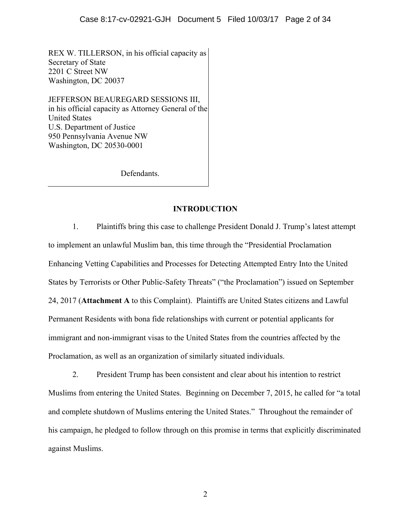REX W. TILLERSON, in his official capacity as Secretary of State 2201 C Street NW Washington, DC 20037

JEFFERSON BEAUREGARD SESSIONS III, in his official capacity as Attorney General of the United States U.S. Department of Justice 950 Pennsylvania Avenue NW Washington, DC 20530-0001

Defendants.

## **INTRODUCTION**

1. Plaintiffs bring this case to challenge President Donald J. Trump's latest attempt to implement an unlawful Muslim ban, this time through the "Presidential Proclamation Enhancing Vetting Capabilities and Processes for Detecting Attempted Entry Into the United States by Terrorists or Other Public-Safety Threats" ("the Proclamation") issued on September 24, 2017 (**Attachment A** to this Complaint). Plaintiffs are United States citizens and Lawful Permanent Residents with bona fide relationships with current or potential applicants for immigrant and non-immigrant visas to the United States from the countries affected by the Proclamation, as well as an organization of similarly situated individuals.

2. President Trump has been consistent and clear about his intention to restrict Muslims from entering the United States. Beginning on December 7, 2015, he called for "a total and complete shutdown of Muslims entering the United States." Throughout the remainder of his campaign, he pledged to follow through on this promise in terms that explicitly discriminated against Muslims.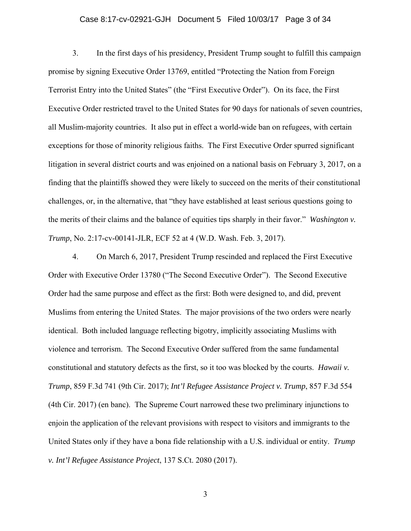# Case 8:17-cv-02921-GJH Document 5 Filed 10/03/17 Page 3 of 34

3. In the first days of his presidency, President Trump sought to fulfill this campaign promise by signing Executive Order 13769, entitled "Protecting the Nation from Foreign Terrorist Entry into the United States" (the "First Executive Order"). On its face, the First Executive Order restricted travel to the United States for 90 days for nationals of seven countries, all Muslim-majority countries. It also put in effect a world-wide ban on refugees, with certain exceptions for those of minority religious faiths. The First Executive Order spurred significant litigation in several district courts and was enjoined on a national basis on February 3, 2017, on a finding that the plaintiffs showed they were likely to succeed on the merits of their constitutional challenges, or, in the alternative, that "they have established at least serious questions going to the merits of their claims and the balance of equities tips sharply in their favor." *Washington v. Trump*, No. 2:17-cv-00141-JLR, ECF 52 at 4 (W.D. Wash. Feb. 3, 2017).

4. On March 6, 2017, President Trump rescinded and replaced the First Executive Order with Executive Order 13780 ("The Second Executive Order"). The Second Executive Order had the same purpose and effect as the first: Both were designed to, and did, prevent Muslims from entering the United States. The major provisions of the two orders were nearly identical. Both included language reflecting bigotry, implicitly associating Muslims with violence and terrorism. The Second Executive Order suffered from the same fundamental constitutional and statutory defects as the first, so it too was blocked by the courts. *Hawaii v. Trump*, 859 F.3d 741 (9th Cir. 2017); *Int'l Refugee Assistance Project v. Trump*, 857 F.3d 554 (4th Cir. 2017) (en banc). The Supreme Court narrowed these two preliminary injunctions to enjoin the application of the relevant provisions with respect to visitors and immigrants to the United States only if they have a bona fide relationship with a U.S. individual or entity. *Trump v. Int'l Refugee Assistance Project*, 137 S.Ct. 2080 (2017).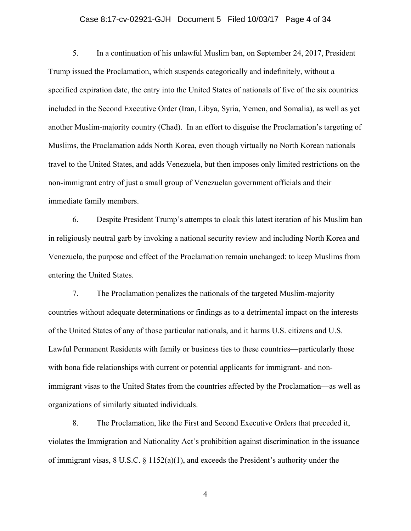### Case 8:17-cv-02921-GJH Document 5 Filed 10/03/17 Page 4 of 34

5. In a continuation of his unlawful Muslim ban, on September 24, 2017, President Trump issued the Proclamation, which suspends categorically and indefinitely, without a specified expiration date, the entry into the United States of nationals of five of the six countries included in the Second Executive Order (Iran, Libya, Syria, Yemen, and Somalia), as well as yet another Muslim-majority country (Chad). In an effort to disguise the Proclamation's targeting of Muslims, the Proclamation adds North Korea, even though virtually no North Korean nationals travel to the United States, and adds Venezuela, but then imposes only limited restrictions on the non-immigrant entry of just a small group of Venezuelan government officials and their immediate family members.

6. Despite President Trump's attempts to cloak this latest iteration of his Muslim ban in religiously neutral garb by invoking a national security review and including North Korea and Venezuela, the purpose and effect of the Proclamation remain unchanged: to keep Muslims from entering the United States.

7. The Proclamation penalizes the nationals of the targeted Muslim-majority countries without adequate determinations or findings as to a detrimental impact on the interests of the United States of any of those particular nationals, and it harms U.S. citizens and U.S. Lawful Permanent Residents with family or business ties to these countries—particularly those with bona fide relationships with current or potential applicants for immigrant- and nonimmigrant visas to the United States from the countries affected by the Proclamation—as well as organizations of similarly situated individuals.

8. The Proclamation, like the First and Second Executive Orders that preceded it, violates the Immigration and Nationality Act's prohibition against discrimination in the issuance of immigrant visas, 8 U.S.C. § 1152(a)(1), and exceeds the President's authority under the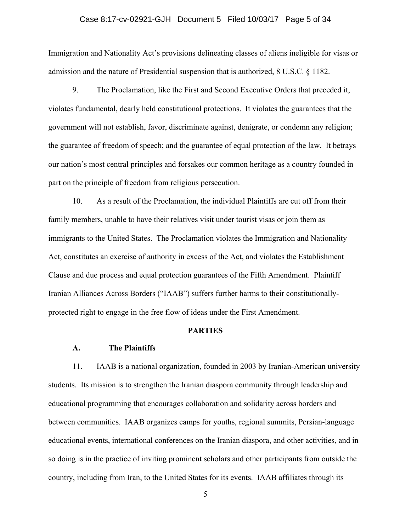## Case 8:17-cv-02921-GJH Document 5 Filed 10/03/17 Page 5 of 34

Immigration and Nationality Act's provisions delineating classes of aliens ineligible for visas or admission and the nature of Presidential suspension that is authorized, 8 U.S.C. § 1182.

9. The Proclamation, like the First and Second Executive Orders that preceded it, violates fundamental, dearly held constitutional protections. It violates the guarantees that the government will not establish, favor, discriminate against, denigrate, or condemn any religion; the guarantee of freedom of speech; and the guarantee of equal protection of the law. It betrays our nation's most central principles and forsakes our common heritage as a country founded in part on the principle of freedom from religious persecution.

10. As a result of the Proclamation, the individual Plaintiffs are cut off from their family members, unable to have their relatives visit under tourist visas or join them as immigrants to the United States. The Proclamation violates the Immigration and Nationality Act, constitutes an exercise of authority in excess of the Act, and violates the Establishment Clause and due process and equal protection guarantees of the Fifth Amendment. Plaintiff Iranian Alliances Across Borders ("IAAB") suffers further harms to their constitutionallyprotected right to engage in the free flow of ideas under the First Amendment.

#### **PARTIES**

### **A. The Plaintiffs**

11. IAAB is a national organization, founded in 2003 by Iranian-American university students. Its mission is to strengthen the Iranian diaspora community through leadership and educational programming that encourages collaboration and solidarity across borders and between communities. IAAB organizes camps for youths, regional summits, Persian-language educational events, international conferences on the Iranian diaspora, and other activities, and in so doing is in the practice of inviting prominent scholars and other participants from outside the country, including from Iran, to the United States for its events. IAAB affiliates through its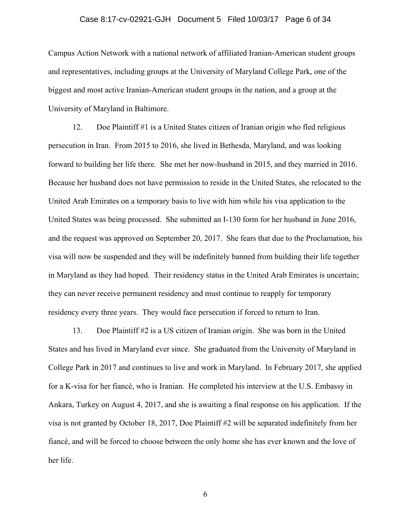### Case 8:17-cv-02921-GJH Document 5 Filed 10/03/17 Page 6 of 34

Campus Action Network with a national network of affiliated Iranian-American student groups and representatives, including groups at the University of Maryland College Park, one of the biggest and most active Iranian-American student groups in the nation, and a group at the University of Maryland in Baltimore.

12. Doe Plaintiff #1 is a United States citizen of Iranian origin who fled religious persecution in Iran. From 2015 to 2016, she lived in Bethesda, Maryland, and was looking forward to building her life there. She met her now-husband in 2015, and they married in 2016. Because her husband does not have permission to reside in the United States, she relocated to the United Arab Emirates on a temporary basis to live with him while his visa application to the United States was being processed. She submitted an I-130 form for her husband in June 2016, and the request was approved on September 20, 2017. She fears that due to the Proclamation, his visa will now be suspended and they will be indefinitely banned from building their life together in Maryland as they had hoped. Their residency status in the United Arab Emirates is uncertain; they can never receive permanent residency and must continue to reapply for temporary residency every three years. They would face persecution if forced to return to Iran.

13. Doe Plaintiff #2 is a US citizen of Iranian origin. She was born in the United States and has lived in Maryland ever since. She graduated from the University of Maryland in College Park in 2017 and continues to live and work in Maryland. In February 2017, she applied for a K-visa for her fiancé, who is Iranian. He completed his interview at the U.S. Embassy in Ankara, Turkey on August 4, 2017, and she is awaiting a final response on his application. If the visa is not granted by October 18, 2017, Doe Plaintiff #2 will be separated indefinitely from her fiancé, and will be forced to choose between the only home she has ever known and the love of her life.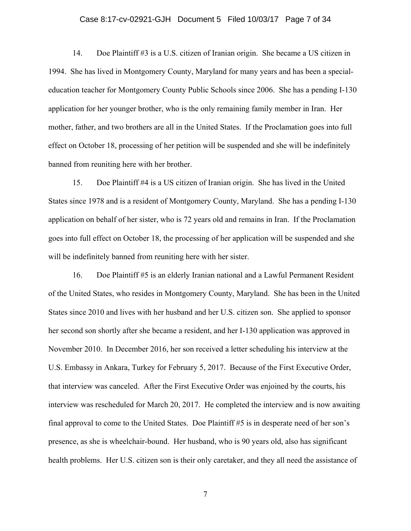### Case 8:17-cv-02921-GJH Document 5 Filed 10/03/17 Page 7 of 34

14. Doe Plaintiff #3 is a U.S. citizen of Iranian origin. She became a US citizen in 1994. She has lived in Montgomery County, Maryland for many years and has been a specialeducation teacher for Montgomery County Public Schools since 2006. She has a pending I-130 application for her younger brother, who is the only remaining family member in Iran. Her mother, father, and two brothers are all in the United States. If the Proclamation goes into full effect on October 18, processing of her petition will be suspended and she will be indefinitely banned from reuniting here with her brother.

15. Doe Plaintiff #4 is a US citizen of Iranian origin. She has lived in the United States since 1978 and is a resident of Montgomery County, Maryland. She has a pending I-130 application on behalf of her sister, who is 72 years old and remains in Iran. If the Proclamation goes into full effect on October 18, the processing of her application will be suspended and she will be indefinitely banned from reuniting here with her sister.

16. Doe Plaintiff #5 is an elderly Iranian national and a Lawful Permanent Resident of the United States, who resides in Montgomery County, Maryland. She has been in the United States since 2010 and lives with her husband and her U.S. citizen son. She applied to sponsor her second son shortly after she became a resident, and her I-130 application was approved in November 2010. In December 2016, her son received a letter scheduling his interview at the U.S. Embassy in Ankara, Turkey for February 5, 2017. Because of the First Executive Order, that interview was canceled. After the First Executive Order was enjoined by the courts, his interview was rescheduled for March 20, 2017. He completed the interview and is now awaiting final approval to come to the United States. Doe Plaintiff #5 is in desperate need of her son's presence, as she is wheelchair-bound. Her husband, who is 90 years old, also has significant health problems. Her U.S. citizen son is their only caretaker, and they all need the assistance of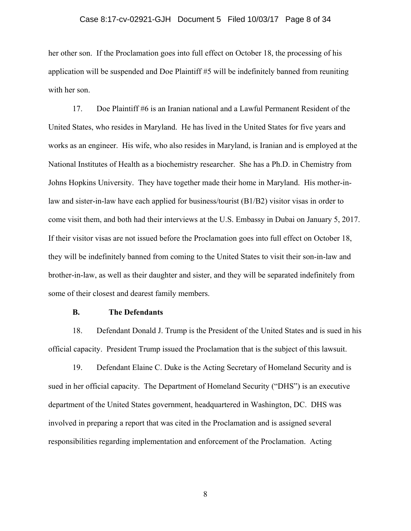### Case 8:17-cv-02921-GJH Document 5 Filed 10/03/17 Page 8 of 34

her other son. If the Proclamation goes into full effect on October 18, the processing of his application will be suspended and Doe Plaintiff #5 will be indefinitely banned from reuniting with her son.

17. Doe Plaintiff #6 is an Iranian national and a Lawful Permanent Resident of the United States, who resides in Maryland. He has lived in the United States for five years and works as an engineer. His wife, who also resides in Maryland, is Iranian and is employed at the National Institutes of Health as a biochemistry researcher. She has a Ph.D. in Chemistry from Johns Hopkins University. They have together made their home in Maryland. His mother-inlaw and sister-in-law have each applied for business/tourist (B1/B2) visitor visas in order to come visit them, and both had their interviews at the U.S. Embassy in Dubai on January 5, 2017. If their visitor visas are not issued before the Proclamation goes into full effect on October 18, they will be indefinitely banned from coming to the United States to visit their son-in-law and brother-in-law, as well as their daughter and sister, and they will be separated indefinitely from some of their closest and dearest family members.

#### **B. The Defendants**

18. Defendant Donald J. Trump is the President of the United States and is sued in his official capacity. President Trump issued the Proclamation that is the subject of this lawsuit.

19. Defendant Elaine C. Duke is the Acting Secretary of Homeland Security and is sued in her official capacity. The Department of Homeland Security ("DHS") is an executive department of the United States government, headquartered in Washington, DC. DHS was involved in preparing a report that was cited in the Proclamation and is assigned several responsibilities regarding implementation and enforcement of the Proclamation. Acting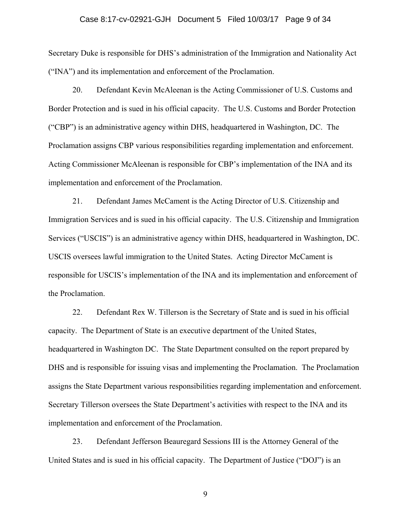#### Case 8:17-cv-02921-GJH Document 5 Filed 10/03/17 Page 9 of 34

Secretary Duke is responsible for DHS's administration of the Immigration and Nationality Act ("INA") and its implementation and enforcement of the Proclamation.

20. Defendant Kevin McAleenan is the Acting Commissioner of U.S. Customs and Border Protection and is sued in his official capacity. The U.S. Customs and Border Protection ("CBP") is an administrative agency within DHS, headquartered in Washington, DC. The Proclamation assigns CBP various responsibilities regarding implementation and enforcement. Acting Commissioner McAleenan is responsible for CBP's implementation of the INA and its implementation and enforcement of the Proclamation.

21. Defendant James McCament is the Acting Director of U.S. Citizenship and Immigration Services and is sued in his official capacity. The U.S. Citizenship and Immigration Services ("USCIS") is an administrative agency within DHS, headquartered in Washington, DC. USCIS oversees lawful immigration to the United States. Acting Director McCament is responsible for USCIS's implementation of the INA and its implementation and enforcement of the Proclamation.

22. Defendant Rex W. Tillerson is the Secretary of State and is sued in his official capacity. The Department of State is an executive department of the United States, headquartered in Washington DC. The State Department consulted on the report prepared by DHS and is responsible for issuing visas and implementing the Proclamation. The Proclamation assigns the State Department various responsibilities regarding implementation and enforcement. Secretary Tillerson oversees the State Department's activities with respect to the INA and its implementation and enforcement of the Proclamation.

23. Defendant Jefferson Beauregard Sessions III is the Attorney General of the United States and is sued in his official capacity. The Department of Justice ("DOJ") is an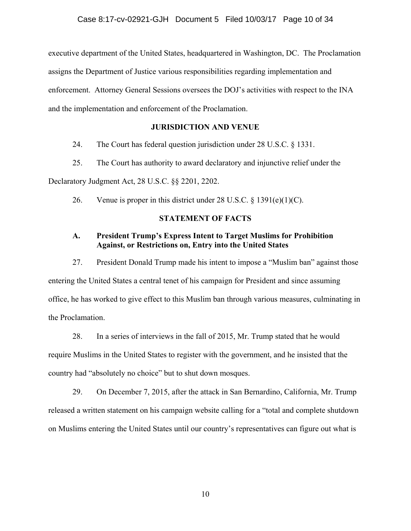executive department of the United States, headquartered in Washington, DC. The Proclamation assigns the Department of Justice various responsibilities regarding implementation and enforcement. Attorney General Sessions oversees the DOJ's activities with respect to the INA and the implementation and enforcement of the Proclamation.

# **JURISDICTION AND VENUE**

24. The Court has federal question jurisdiction under 28 U.S.C. § 1331.

25. The Court has authority to award declaratory and injunctive relief under the

Declaratory Judgment Act, 28 U.S.C. §§ 2201, 2202.

26. Venue is proper in this district under 28 U.S.C.  $\S$  1391(e)(1)(C).

# **STATEMENT OF FACTS**

# **A. President Trump's Express Intent to Target Muslims for Prohibition Against, or Restrictions on, Entry into the United States**

27. President Donald Trump made his intent to impose a "Muslim ban" against those entering the United States a central tenet of his campaign for President and since assuming office, he has worked to give effect to this Muslim ban through various measures, culminating in the Proclamation.

28. In a series of interviews in the fall of 2015, Mr. Trump stated that he would require Muslims in the United States to register with the government, and he insisted that the country had "absolutely no choice" but to shut down mosques.

29. On December 7, 2015, after the attack in San Bernardino, California, Mr. Trump released a written statement on his campaign website calling for a "total and complete shutdown on Muslims entering the United States until our country's representatives can figure out what is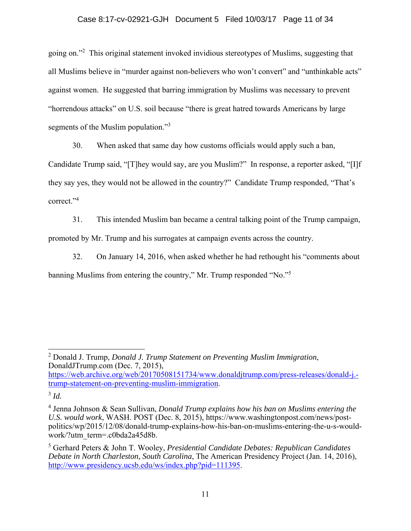## Case 8:17-cv-02921-GJH Document 5 Filed 10/03/17 Page 11 of 34

going on."<sup>2</sup> This original statement invoked invidious stereotypes of Muslims, suggesting that all Muslims believe in "murder against non-believers who won't convert" and "unthinkable acts" against women. He suggested that barring immigration by Muslims was necessary to prevent "horrendous attacks" on U.S. soil because "there is great hatred towards Americans by large segments of the Muslim population."<sup>3</sup>

30. When asked that same day how customs officials would apply such a ban,

Candidate Trump said, "[T]hey would say, are you Muslim?" In response, a reporter asked, "[I]f they say yes, they would not be allowed in the country?" Candidate Trump responded, "That's correct."4

31. This intended Muslim ban became a central talking point of the Trump campaign, promoted by Mr. Trump and his surrogates at campaign events across the country.

32. On January 14, 2016, when asked whether he had rethought his "comments about banning Muslims from entering the country," Mr. Trump responded "No."<sup>5</sup>

https://web.archive.org/web/20170508151734/www.donaldjtrump.com/press-releases/donald-j. trump-statement-on-preventing-muslim-immigration.

<sup>3</sup> *Id.*

<sup>2</sup> Donald J. Trump, *Donald J. Trump Statement on Preventing Muslim Immigration*, DonaldJTrump.com (Dec. 7, 2015),

<sup>4</sup> Jenna Johnson & Sean Sullivan, *Donald Trump explains how his ban on Muslims entering the U.S. would work*, WASH. POST (Dec. 8, 2015), https://www.washingtonpost.com/news/postpolitics/wp/2015/12/08/donald-trump-explains-how-his-ban-on-muslims-entering-the-u-s-wouldwork/?utm\_term=.c0bda2a45d8b.

<sup>5</sup> Gerhard Peters & John T. Wooley, *Presidential Candidate Debates: Republican Candidates Debate in North Charleston, South Carolina*, The American Presidency Project (Jan. 14, 2016), http://www.presidency.ucsb.edu/ws/index.php?pid=111395.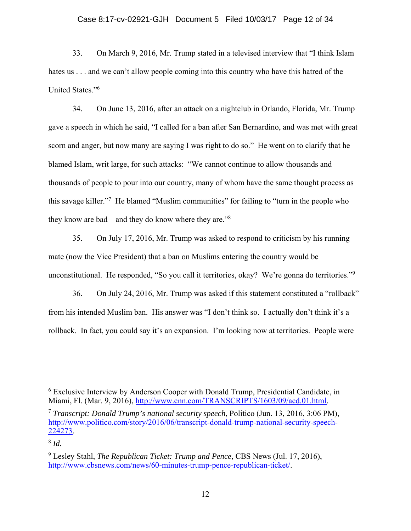### Case 8:17-cv-02921-GJH Document 5 Filed 10/03/17 Page 12 of 34

33. On March 9, 2016, Mr. Trump stated in a televised interview that "I think Islam hates us . . . and we can't allow people coming into this country who have this hatred of the United States."6

34. On June 13, 2016, after an attack on a nightclub in Orlando, Florida, Mr. Trump gave a speech in which he said, "I called for a ban after San Bernardino, and was met with great scorn and anger, but now many are saying I was right to do so." He went on to clarify that he blamed Islam, writ large, for such attacks: "We cannot continue to allow thousands and thousands of people to pour into our country, many of whom have the same thought process as this savage killer."7 He blamed "Muslim communities" for failing to "turn in the people who they know are bad—and they do know where they are."<sup>8</sup>

35. On July 17, 2016, Mr. Trump was asked to respond to criticism by his running mate (now the Vice President) that a ban on Muslims entering the country would be unconstitutional. He responded, "So you call it territories, okay? We're gonna do territories."<sup>9</sup>

36. On July 24, 2016, Mr. Trump was asked if this statement constituted a "rollback" from his intended Muslim ban. His answer was "I don't think so. I actually don't think it's a rollback. In fact, you could say it's an expansion. I'm looking now at territories. People were

<sup>&</sup>lt;sup>6</sup> Exclusive Interview by Anderson Cooper with Donald Trump, Presidential Candidate, in Miami, Fl. (Mar. 9, 2016), http://www.cnn.com/TRANSCRIPTS/1603/09/acd.01.html.

<sup>7</sup> *Transcript: Donald Trump's national security speech*, Politico (Jun. 13, 2016, 3:06 PM), http://www.politico.com/story/2016/06/transcript-donald-trump-national-security-speech-224273.

<sup>8</sup> *Id.*

<sup>9</sup> Lesley Stahl, *The Republican Ticket: Trump and Pence*, CBS News (Jul. 17, 2016), http://www.cbsnews.com/news/60-minutes-trump-pence-republican-ticket/.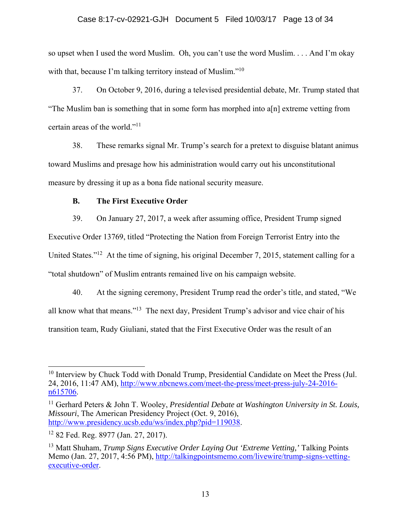## Case 8:17-cv-02921-GJH Document 5 Filed 10/03/17 Page 13 of 34

so upset when I used the word Muslim. Oh, you can't use the word Muslim. . . . And I'm okay with that, because I'm talking territory instead of Muslim."<sup>10</sup>

37. On October 9, 2016, during a televised presidential debate, Mr. Trump stated that "The Muslim ban is something that in some form has morphed into a[n] extreme vetting from certain areas of the world."<sup>11</sup>

38. These remarks signal Mr. Trump's search for a pretext to disguise blatant animus toward Muslims and presage how his administration would carry out his unconstitutional measure by dressing it up as a bona fide national security measure.

# **B. The First Executive Order**

39. On January 27, 2017, a week after assuming office, President Trump signed Executive Order 13769, titled "Protecting the Nation from Foreign Terrorist Entry into the United States."<sup>12</sup> At the time of signing, his original December 7, 2015, statement calling for a "total shutdown" of Muslim entrants remained live on his campaign website.

40. At the signing ceremony, President Trump read the order's title, and stated, "We all know what that means."13 The next day, President Trump's advisor and vice chair of his transition team, Rudy Giuliani, stated that the First Executive Order was the result of an

11 Gerhard Peters & John T. Wooley, *Presidential Debate at Washington University in St. Louis, Missouri*, The American Presidency Project (Oct. 9, 2016), http://www.presidency.ucsb.edu/ws/index.php?pid=119038.

 $10$  Interview by Chuck Todd with Donald Trump, Presidential Candidate on Meet the Press (Jul. 24, 2016, 11:47 AM), http://www.nbcnews.com/meet-the-press/meet-press-july-24-2016 n615706.

<sup>12 82</sup> Fed. Reg. 8977 (Jan. 27, 2017).

<sup>13</sup> Matt Shuham, *Trump Signs Executive Order Laying Out 'Extreme Vetting,'* Talking Points Memo (Jan. 27, 2017, 4:56 PM), http://talkingpointsmemo.com/livewire/trump-signs-vettingexecutive-order.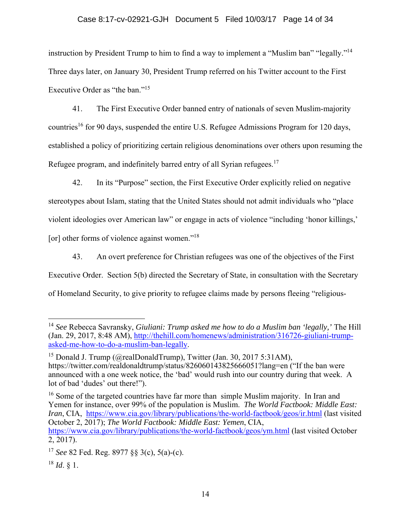# Case 8:17-cv-02921-GJH Document 5 Filed 10/03/17 Page 14 of 34

instruction by President Trump to him to find a way to implement a "Muslim ban" "legally."14 Three days later, on January 30, President Trump referred on his Twitter account to the First Executive Order as "the ban."<sup>15</sup>

41. The First Executive Order banned entry of nationals of seven Muslim-majority countries<sup>16</sup> for 90 days, suspended the entire U.S. Refugee Admissions Program for 120 days, established a policy of prioritizing certain religious denominations over others upon resuming the Refugee program, and indefinitely barred entry of all Syrian refugees.<sup>17</sup>

42. In its "Purpose" section, the First Executive Order explicitly relied on negative stereotypes about Islam, stating that the United States should not admit individuals who "place violent ideologies over American law" or engage in acts of violence "including 'honor killings,' [or] other forms of violence against women."<sup>18</sup>

43. An overt preference for Christian refugees was one of the objectives of the First Executive Order. Section 5(b) directed the Secretary of State, in consultation with the Secretary of Homeland Security, to give priority to refugee claims made by persons fleeing "religious-

<sup>16</sup> Some of the targeted countries have far more than simple Muslim majority. In Iran and Yemen for instance, over 99% of the population is Muslim. *The World Factbook: Middle East: Iran*, CIA, https://www.cia.gov/library/publications/the-world-factbook/geos/ir.html (last visited October 2, 2017); *The World Factbook: Middle East: Yemen*, CIA, https://www.cia.gov/library/publications/the-world-factbook/geos/ym.html (last visited October 2, 2017).

<sup>14</sup> *See* Rebecca Savransky, *Giuliani: Trump asked me how to do a Muslim ban 'legally,'* The Hill (Jan. 29, 2017, 8:48 AM), http://thehill.com/homenews/administration/316726-giuliani-trumpasked-me-how-to-do-a-muslim-ban-legally.

<sup>&</sup>lt;sup>15</sup> Donald J. Trump (@realDonaldTrump), Twitter (Jan. 30, 2017 5:31AM), https://twitter.com/realdonaldtrump/status/826060143825666051?lang=en ("If the ban were announced with a one week notice, the 'bad' would rush into our country during that week. A lot of bad 'dudes' out there!").

<sup>17</sup> *See* 82 Fed. Reg. 8977 §§ 3(c), 5(a)-(c).

<sup>18</sup> *Id*. § 1.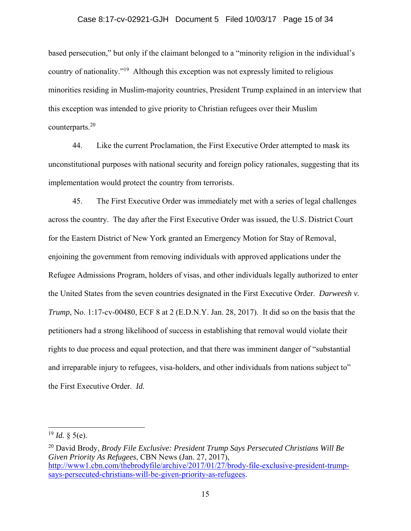## Case 8:17-cv-02921-GJH Document 5 Filed 10/03/17 Page 15 of 34

based persecution," but only if the claimant belonged to a "minority religion in the individual's country of nationality."19 Although this exception was not expressly limited to religious minorities residing in Muslim-majority countries, President Trump explained in an interview that this exception was intended to give priority to Christian refugees over their Muslim counterparts.<sup>20</sup>

44. Like the current Proclamation, the First Executive Order attempted to mask its unconstitutional purposes with national security and foreign policy rationales, suggesting that its implementation would protect the country from terrorists.

45. The First Executive Order was immediately met with a series of legal challenges across the country. The day after the First Executive Order was issued, the U.S. District Court for the Eastern District of New York granted an Emergency Motion for Stay of Removal, enjoining the government from removing individuals with approved applications under the Refugee Admissions Program, holders of visas, and other individuals legally authorized to enter the United States from the seven countries designated in the First Executive Order. *Darweesh v. Trump*, No. 1:17-cv-00480, ECF 8 at 2 (E.D.N.Y. Jan. 28, 2017). It did so on the basis that the petitioners had a strong likelihood of success in establishing that removal would violate their rights to due process and equal protection, and that there was imminent danger of "substantial and irreparable injury to refugees, visa-holders, and other individuals from nations subject to" the First Executive Order. *Id.*

 $^{19}$  *Id.* § 5(e).

<sup>20</sup> David Brody, *Brody File Exclusive: President Trump Says Persecuted Christians Will Be Given Priority As Refugees*, CBN News (Jan. 27, 2017), http://www1.cbn.com/thebrodyfile/archive/2017/01/27/brody-file-exclusive-president-trumpsays-persecuted-christians-will-be-given-priority-as-refugees.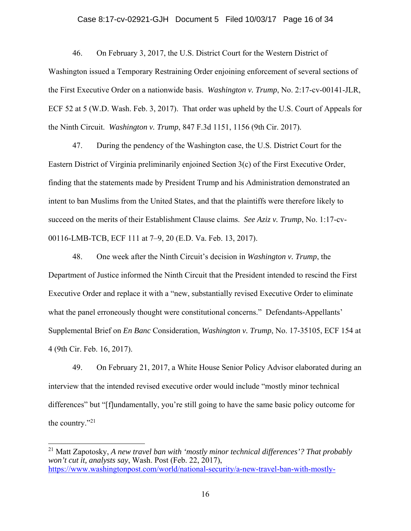### Case 8:17-cv-02921-GJH Document 5 Filed 10/03/17 Page 16 of 34

46. On February 3, 2017, the U.S. District Court for the Western District of Washington issued a Temporary Restraining Order enjoining enforcement of several sections of the First Executive Order on a nationwide basis. *Washington v. Trump*, No. 2:17-cv-00141-JLR, ECF 52 at 5 (W.D. Wash. Feb. 3, 2017). That order was upheld by the U.S. Court of Appeals for the Ninth Circuit. *Washington v. Trump*, 847 F.3d 1151, 1156 (9th Cir. 2017).

47. During the pendency of the Washington case, the U.S. District Court for the Eastern District of Virginia preliminarily enjoined Section 3(c) of the First Executive Order, finding that the statements made by President Trump and his Administration demonstrated an intent to ban Muslims from the United States, and that the plaintiffs were therefore likely to succeed on the merits of their Establishment Clause claims. *See Aziz v. Trump*, No. 1:17-cv-00116-LMB-TCB, ECF 111 at 7–9, 20 (E.D. Va. Feb. 13, 2017).

48. One week after the Ninth Circuit's decision in *Washington v. Trump*, the Department of Justice informed the Ninth Circuit that the President intended to rescind the First Executive Order and replace it with a "new, substantially revised Executive Order to eliminate what the panel erroneously thought were constitutional concerns." Defendants-Appellants' Supplemental Brief on *En Banc* Consideration, *Washington v. Trump*, No. 17-35105, ECF 154 at 4 (9th Cir. Feb. 16, 2017).

49. On February 21, 2017, a White House Senior Policy Advisor elaborated during an interview that the intended revised executive order would include "mostly minor technical differences" but "[f]undamentally, you're still going to have the same basic policy outcome for the country." $^{21}$ 

<sup>21</sup> Matt Zapotosky, *A new travel ban with 'mostly minor technical differences'? That probably won't cut it, analysts say*, Wash. Post (Feb. 22, 2017), https://www.washingtonpost.com/world/national-security/a-new-travel-ban-with-mostly-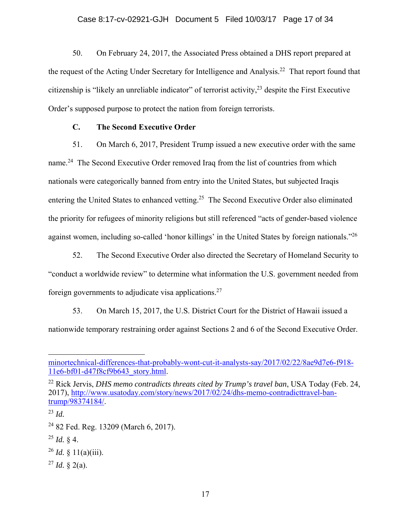50. On February 24, 2017, the Associated Press obtained a DHS report prepared at the request of the Acting Under Secretary for Intelligence and Analysis.<sup>22</sup> That report found that citizenship is "likely an unreliable indicator" of terrorist activity,  $2<sup>3</sup>$  despite the First Executive Order's supposed purpose to protect the nation from foreign terrorists.

# **C. The Second Executive Order**

51. On March 6, 2017, President Trump issued a new executive order with the same name.<sup>24</sup> The Second Executive Order removed Iraq from the list of countries from which nationals were categorically banned from entry into the United States, but subjected Iraqis entering the United States to enhanced vetting.<sup>25</sup> The Second Executive Order also eliminated the priority for refugees of minority religions but still referenced "acts of gender-based violence against women, including so-called 'honor killings' in the United States by foreign nationals."<sup>26</sup>

52. The Second Executive Order also directed the Secretary of Homeland Security to "conduct a worldwide review" to determine what information the U.S. government needed from foreign governments to adjudicate visa applications.<sup>27</sup>

53. On March 15, 2017, the U.S. District Court for the District of Hawaii issued a nationwide temporary restraining order against Sections 2 and 6 of the Second Executive Order.

 $\overline{a}$ 

 $^{25}$  *Id.* § 4.

 $^{27}$  *Id.* § 2(a).

minortechnical-differences-that-probably-wont-cut-it-analysts-say/2017/02/22/8ae9d7e6-f918- 11e6-bf01-d47f8cf9b643\_story.html.

<sup>22</sup> Rick Jervis, *DHS memo contradicts threats cited by Trump's travel ban*, USA Today (Feb. 24, 2017), http://www.usatoday.com/story/news/2017/02/24/dhs-memo-contradicttravel-bantrump/98374184/.

<sup>23</sup> *Id.*

<sup>24 82</sup> Fed. Reg. 13209 (March 6, 2017).

 $^{26}$  *Id.* § 11(a)(iii).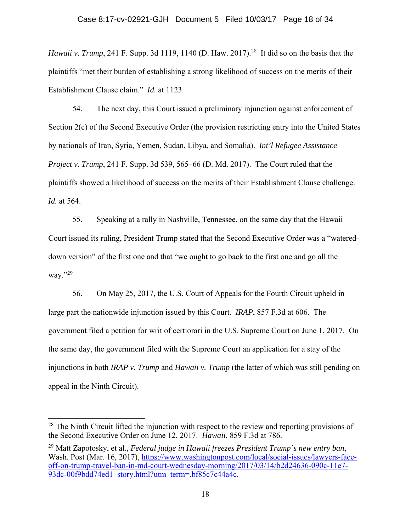*Hawaii v. Trump*, 241 F. Supp. 3d 1119, 1140 (D. Haw. 2017).<sup>28</sup> It did so on the basis that the plaintiffs "met their burden of establishing a strong likelihood of success on the merits of their Establishment Clause claim." *Id.* at 1123.

54. The next day, this Court issued a preliminary injunction against enforcement of Section 2(c) of the Second Executive Order (the provision restricting entry into the United States by nationals of Iran, Syria, Yemen, Sudan, Libya, and Somalia). *Int'l Refugee Assistance Project v. Trump*, 241 F. Supp. 3d 539, 565–66 (D. Md. 2017). The Court ruled that the plaintiffs showed a likelihood of success on the merits of their Establishment Clause challenge. *Id.* at 564.

55. Speaking at a rally in Nashville, Tennessee, on the same day that the Hawaii Court issued its ruling, President Trump stated that the Second Executive Order was a "watereddown version" of the first one and that "we ought to go back to the first one and go all the way."29

56. On May 25, 2017, the U.S. Court of Appeals for the Fourth Circuit upheld in large part the nationwide injunction issued by this Court. *IRAP*, 857 F.3d at 606. The government filed a petition for writ of certiorari in the U.S. Supreme Court on June 1, 2017. On the same day, the government filed with the Supreme Court an application for a stay of the injunctions in both *IRAP v. Trump* and *Hawaii v. Trump* (the latter of which was still pending on appeal in the Ninth Circuit).

<sup>&</sup>lt;sup>28</sup> The Ninth Circuit lifted the injunction with respect to the review and reporting provisions of the Second Executive Order on June 12, 2017. *Hawaii*, 859 F.3d at 786*.*

<sup>29</sup> Matt Zapotosky, et al., *Federal judge in Hawaii freezes President Trump's new entry ban*, Wash. Post (Mar. 16, 2017), https://www.washingtonpost.com/local/social-issues/lawyers-faceoff-on-trump-travel-ban-in-md-court-wednesday-morning/2017/03/14/b2d24636-090c-11e7- 93dc-00f9bdd74ed1 story.html?utm term=.bf85c7c44a4c.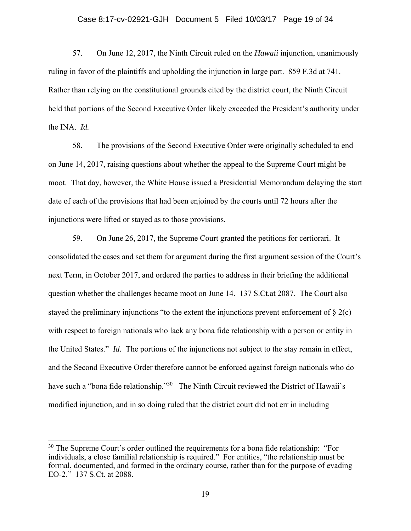### Case 8:17-cv-02921-GJH Document 5 Filed 10/03/17 Page 19 of 34

57. On June 12, 2017, the Ninth Circuit ruled on the *Hawaii* injunction, unanimously ruling in favor of the plaintiffs and upholding the injunction in large part. 859 F.3d at 741. Rather than relying on the constitutional grounds cited by the district court, the Ninth Circuit held that portions of the Second Executive Order likely exceeded the President's authority under the INA. *Id.*

58. The provisions of the Second Executive Order were originally scheduled to end on June 14, 2017, raising questions about whether the appeal to the Supreme Court might be moot. That day, however, the White House issued a Presidential Memorandum delaying the start date of each of the provisions that had been enjoined by the courts until 72 hours after the injunctions were lifted or stayed as to those provisions.

59. On June 26, 2017, the Supreme Court granted the petitions for certiorari. It consolidated the cases and set them for argument during the first argument session of the Court's next Term, in October 2017, and ordered the parties to address in their briefing the additional question whether the challenges became moot on June 14. 137 S.Ct.at 2087. The Court also stayed the preliminary injunctions "to the extent the injunctions prevent enforcement of  $\S 2(c)$ with respect to foreign nationals who lack any bona fide relationship with a person or entity in the United States." *Id.* The portions of the injunctions not subject to the stay remain in effect, and the Second Executive Order therefore cannot be enforced against foreign nationals who do have such a "bona fide relationship."<sup>30</sup> The Ninth Circuit reviewed the District of Hawaii's modified injunction, and in so doing ruled that the district court did not err in including

 $30$  The Supreme Court's order outlined the requirements for a bona fide relationship: "For individuals, a close familial relationship is required." For entities, "the relationship must be formal, documented, and formed in the ordinary course, rather than for the purpose of evading EO-2." 137 S.Ct. at 2088.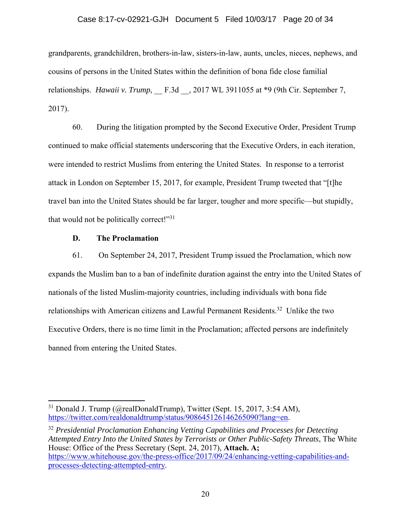### Case 8:17-cv-02921-GJH Document 5 Filed 10/03/17 Page 20 of 34

grandparents, grandchildren, brothers-in-law, sisters-in-law, aunts, uncles, nieces, nephews, and cousins of persons in the United States within the definition of bona fide close familial relationships. *Hawaii v. Trump*, F.3d ., 2017 WL 3911055 at \*9 (9th Cir. September 7, 2017).

60. During the litigation prompted by the Second Executive Order, President Trump continued to make official statements underscoring that the Executive Orders, in each iteration, were intended to restrict Muslims from entering the United States. In response to a terrorist attack in London on September 15, 2017, for example, President Trump tweeted that "[t]he travel ban into the United States should be far larger, tougher and more specific—but stupidly, that would not be politically correct!"<sup>31</sup>

## **D. The Proclamation**

 $\overline{a}$ 

61. On September 24, 2017, President Trump issued the Proclamation, which now expands the Muslim ban to a ban of indefinite duration against the entry into the United States of nationals of the listed Muslim-majority countries, including individuals with bona fide relationships with American citizens and Lawful Permanent Residents.<sup>32</sup> Unlike the two Executive Orders, there is no time limit in the Proclamation; affected persons are indefinitely banned from entering the United States.

 $31$  Donald J. Trump (@realDonaldTrump), Twitter (Sept. 15, 2017, 3:54 AM), https://twitter.com/realdonaldtrump/status/908645126146265090?lang=en.

<sup>32</sup> *Presidential Proclamation Enhancing Vetting Capabilities and Processes for Detecting Attempted Entry Into the United States by Terrorists or Other Public-Safety Threats*, The White House: Office of the Press Secretary (Sept. 24, 2017), **Attach. A;**  https://www.whitehouse.gov/the-press-office/2017/09/24/enhancing-vetting-capabilities-andprocesses-detecting-attempted-entry.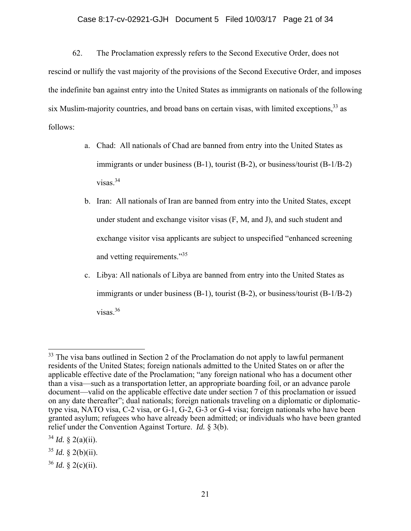## Case 8:17-cv-02921-GJH Document 5 Filed 10/03/17 Page 21 of 34

62. The Proclamation expressly refers to the Second Executive Order, does not rescind or nullify the vast majority of the provisions of the Second Executive Order, and imposes the indefinite ban against entry into the United States as immigrants on nationals of the following six Muslim-majority countries, and broad bans on certain visas, with limited exceptions,  $33$  as follows:

- a. Chad: All nationals of Chad are banned from entry into the United States as immigrants or under business (B-1), tourist (B-2), or business/tourist (B-1/B-2) visas.34
- b. Iran: All nationals of Iran are banned from entry into the United States, except under student and exchange visitor visas (F, M, and J), and such student and exchange visitor visa applicants are subject to unspecified "enhanced screening and vetting requirements."<sup>35</sup>
- c. Libya: All nationals of Libya are banned from entry into the United States as immigrants or under business  $(B-1)$ , tourist  $(B-2)$ , or business/tourist  $(B-1/B-2)$ visas.36

 $34$  *Id.* § 2(a)(ii).

<u>.</u>

<sup>&</sup>lt;sup>33</sup> The visa bans outlined in Section 2 of the Proclamation do not apply to lawful permanent residents of the United States; foreign nationals admitted to the United States on or after the applicable effective date of the Proclamation; "any foreign national who has a document other than a visa—such as a transportation letter, an appropriate boarding foil, or an advance parole document—valid on the applicable effective date under section 7 of this proclamation or issued on any date thereafter"; dual nationals; foreign nationals traveling on a diplomatic or diplomatictype visa, NATO visa, C-2 visa, or G-1, G-2, G-3 or G-4 visa; foreign nationals who have been granted asylum; refugees who have already been admitted; or individuals who have been granted relief under the Convention Against Torture. *Id.* § 3(b).

 $35$  *Id.* § 2(b)(ii).

<sup>36</sup> *Id.* § 2(c)(ii).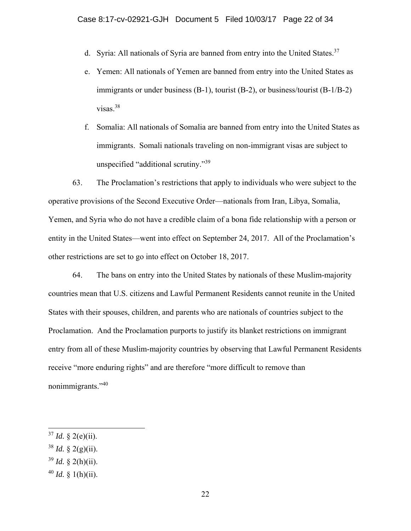- d. Syria: All nationals of Syria are banned from entry into the United States.<sup>37</sup>
- e. Yemen: All nationals of Yemen are banned from entry into the United States as immigrants or under business (B-1), tourist (B-2), or business/tourist (B-1/B-2) visas.38
- f. Somalia: All nationals of Somalia are banned from entry into the United States as immigrants. Somali nationals traveling on non-immigrant visas are subject to unspecified "additional scrutiny."<sup>39</sup>

63. The Proclamation's restrictions that apply to individuals who were subject to the operative provisions of the Second Executive Order—nationals from Iran, Libya, Somalia, Yemen, and Syria who do not have a credible claim of a bona fide relationship with a person or entity in the United States—went into effect on September 24, 2017. All of the Proclamation's other restrictions are set to go into effect on October 18, 2017.

64. The bans on entry into the United States by nationals of these Muslim-majority countries mean that U.S. citizens and Lawful Permanent Residents cannot reunite in the United States with their spouses, children, and parents who are nationals of countries subject to the Proclamation. And the Proclamation purports to justify its blanket restrictions on immigrant entry from all of these Muslim-majority countries by observing that Lawful Permanent Residents receive "more enduring rights" and are therefore "more difficult to remove than nonimmigrants."<sup>40</sup>

 $37$  *Id.* § 2(e)(ii).

 $38$  *Id.* § 2(g)(ii).

 $39$  *Id.* § 2(h)(ii).

 $40$  *Id.* § 1(h)(ii).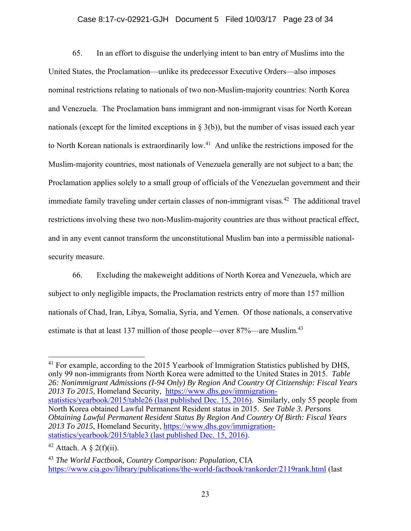## Case 8:17-cv-02921-GJH Document 5 Filed 10/03/17 Page 23 of 34

65. In an effort to disguise the underlying intent to ban entry of Muslims into the United States, the Proclamation—unlike its predecessor Executive Orders—also imposes nominal restrictions relating to nationals of two non-Muslim-majority countries: North Korea and Venezuela. The Proclamation bans immigrant and non-immigrant visas for North Korean nationals (except for the limited exceptions in  $\S$  3(b)), but the number of visas issued each year to North Korean nationals is extraordinarily low.<sup>41</sup> And unlike the restrictions imposed for the Muslim-majority countries, most nationals of Venezuela generally are not subject to a ban; the Proclamation applies solely to a small group of officials of the Venezuelan government and their immediate family traveling under certain classes of non-immigrant visas.<sup>42</sup> The additional travel restrictions involving these two non-Muslim-majority countries are thus without practical effect, and in any event cannot transform the unconstitutional Muslim ban into a permissible nationalsecurity measure.

66. Excluding the makeweight additions of North Korea and Venezuela, which are subject to only negligible impacts, the Proclamation restricts entry of more than 157 million nationals of Chad, Iran, Libya, Somalia, Syria, and Yemen. Of those nationals, a conservative estimate is that at least 137 million of those people—over 87%—are Muslim.<sup>43</sup>

<sup>&</sup>lt;sup>41</sup> For example, according to the 2015 Yearbook of Immigration Statistics published by DHS, only 99 non-immigrants from North Korea were admitted to the United States in 2015. *Table 26: Nonimmigrant Admissions (I-94 Only) By Region And Country Of Citizenship: Fiscal Years 2013 To 2015*, Homeland Security, https://www.dhs.gov/immigrationstatistics/yearbook/2015/table26 (last published Dec. 15, 2016). Similarly, only 55 people from North Korea obtained Lawful Permanent Resident status in 2015. *See Table 3. Persons Obtaining Lawful Permanent Resident Status By Region And Country Of Birth: Fiscal Years 2013 To 2015*, Homeland Security, https://www.dhs.gov/immigrationstatistics/yearbook/2015/table3 (last published Dec. 15, 2016).

<sup>&</sup>lt;sup>42</sup> Attach. A  $\S$  2(f)(ii).

<sup>43</sup> *The World Factbook, Country Comparison: Population*, CIA https://www.cia.gov/library/publications/the-world-factbook/rankorder/2119rank.html (last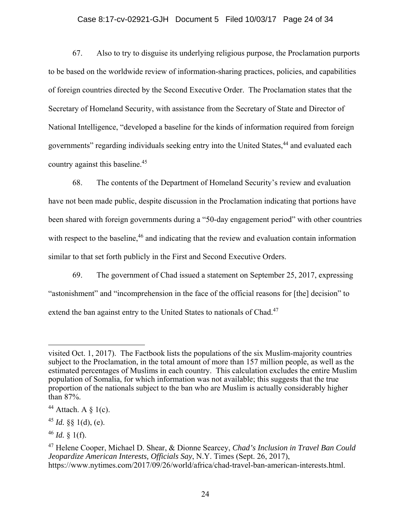## Case 8:17-cv-02921-GJH Document 5 Filed 10/03/17 Page 24 of 34

67. Also to try to disguise its underlying religious purpose, the Proclamation purports to be based on the worldwide review of information-sharing practices, policies, and capabilities of foreign countries directed by the Second Executive Order. The Proclamation states that the Secretary of Homeland Security, with assistance from the Secretary of State and Director of National Intelligence, "developed a baseline for the kinds of information required from foreign governments" regarding individuals seeking entry into the United States,<sup>44</sup> and evaluated each country against this baseline.<sup>45</sup>

68. The contents of the Department of Homeland Security's review and evaluation have not been made public, despite discussion in the Proclamation indicating that portions have been shared with foreign governments during a "50-day engagement period" with other countries with respect to the baseline,<sup>46</sup> and indicating that the review and evaluation contain information similar to that set forth publicly in the First and Second Executive Orders.

69. The government of Chad issued a statement on September 25, 2017, expressing "astonishment" and "incomprehension in the face of the official reasons for [the] decision" to extend the ban against entry to the United States to nationals of Chad.<sup>47</sup>

visited Oct. 1, 2017). The Factbook lists the populations of the six Muslim-majority countries subject to the Proclamation, in the total amount of more than 157 million people, as well as the estimated percentages of Muslims in each country. This calculation excludes the entire Muslim population of Somalia, for which information was not available; this suggests that the true proportion of the nationals subject to the ban who are Muslim is actually considerably higher than 87%.

<sup>&</sup>lt;sup>44</sup> Attach. A  $\S$  1(c).

<sup>&</sup>lt;sup>45</sup> *Id.* §§ 1(d), (e).

 $46$  *Id.* § 1(f).

<sup>47</sup> Helene Cooper, Michael D. Shear, & Dionne Searcey, *Chad's Inclusion in Travel Ban Could Jeopardize American Interests, Officials Say*, N.Y. Times (Sept. 26, 2017), https://www.nytimes.com/2017/09/26/world/africa/chad-travel-ban-american-interests.html.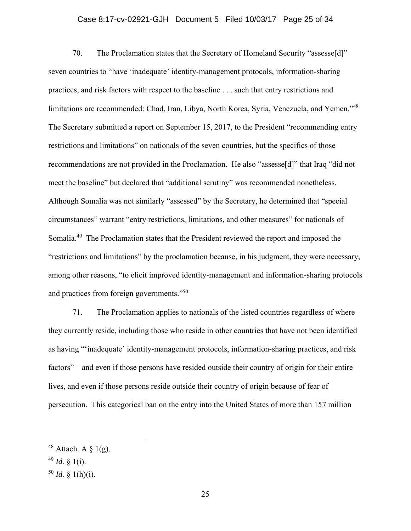# Case 8:17-cv-02921-GJH Document 5 Filed 10/03/17 Page 25 of 34

70. The Proclamation states that the Secretary of Homeland Security "assesse[d]" seven countries to "have 'inadequate' identity-management protocols, information-sharing practices, and risk factors with respect to the baseline . . . such that entry restrictions and limitations are recommended: Chad, Iran, Libya, North Korea, Syria, Venezuela, and Yemen."<sup>48</sup> The Secretary submitted a report on September 15, 2017, to the President "recommending entry restrictions and limitations" on nationals of the seven countries, but the specifics of those recommendations are not provided in the Proclamation. He also "assesse[d]" that Iraq "did not meet the baseline" but declared that "additional scrutiny" was recommended nonetheless. Although Somalia was not similarly "assessed" by the Secretary, he determined that "special circumstances" warrant "entry restrictions, limitations, and other measures" for nationals of Somalia.<sup>49</sup> The Proclamation states that the President reviewed the report and imposed the "restrictions and limitations" by the proclamation because, in his judgment, they were necessary, among other reasons, "to elicit improved identity-management and information-sharing protocols and practices from foreign governments."50

71. The Proclamation applies to nationals of the listed countries regardless of where they currently reside, including those who reside in other countries that have not been identified as having "'inadequate' identity-management protocols, information-sharing practices, and risk factors"—and even if those persons have resided outside their country of origin for their entire lives, and even if those persons reside outside their country of origin because of fear of persecution. This categorical ban on the entry into the United States of more than 157 million

<u>.</u>

<sup>&</sup>lt;sup>48</sup> Attach. A  $\S$  1(g).

 $49$  *Id.* § 1(i).

 $50$  *Id.* § 1(h)(i).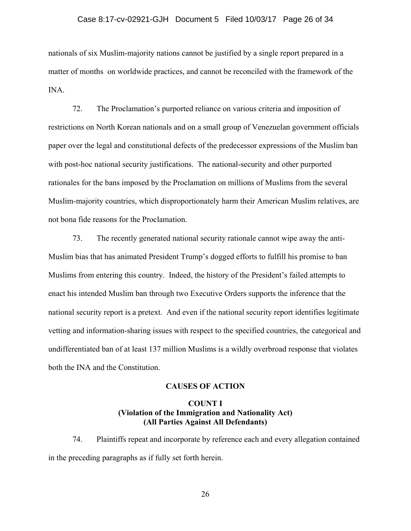### Case 8:17-cv-02921-GJH Document 5 Filed 10/03/17 Page 26 of 34

nationals of six Muslim-majority nations cannot be justified by a single report prepared in a matter of months on worldwide practices, and cannot be reconciled with the framework of the INA.

72. The Proclamation's purported reliance on various criteria and imposition of restrictions on North Korean nationals and on a small group of Venezuelan government officials paper over the legal and constitutional defects of the predecessor expressions of the Muslim ban with post-hoc national security justifications. The national-security and other purported rationales for the bans imposed by the Proclamation on millions of Muslims from the several Muslim-majority countries, which disproportionately harm their American Muslim relatives, are not bona fide reasons for the Proclamation.

73. The recently generated national security rationale cannot wipe away the anti-Muslim bias that has animated President Trump's dogged efforts to fulfill his promise to ban Muslims from entering this country. Indeed, the history of the President's failed attempts to enact his intended Muslim ban through two Executive Orders supports the inference that the national security report is a pretext. And even if the national security report identifies legitimate vetting and information-sharing issues with respect to the specified countries, the categorical and undifferentiated ban of at least 137 million Muslims is a wildly overbroad response that violates both the INA and the Constitution.

## **CAUSES OF ACTION**

## **COUNT I (Violation of the Immigration and Nationality Act) (All Parties Against All Defendants)**

74. Plaintiffs repeat and incorporate by reference each and every allegation contained in the preceding paragraphs as if fully set forth herein.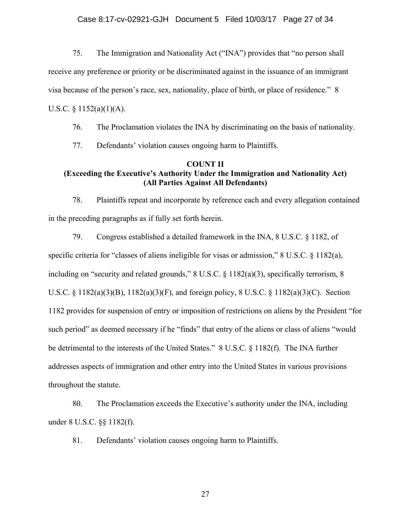75. The Immigration and Nationality Act ("INA") provides that "no person shall

receive any preference or priority or be discriminated against in the issuance of an immigrant

visa because of the person's race, sex, nationality, place of birth, or place of residence." 8

U.S.C.  $\S$  1152(a)(1)(A).

76. The Proclamation violates the INA by discriminating on the basis of nationality.

77. Defendants' violation causes ongoing harm to Plaintiffs.

# **COUNT II**

# **(Exceeding the Executive's Authority Under the Immigration and Nationality Act) (All Parties Against All Defendants)**

78. Plaintiffs repeat and incorporate by reference each and every allegation contained in the preceding paragraphs as if fully set forth herein.

79. Congress established a detailed framework in the INA, 8 U.S.C. § 1182, of specific criteria for "classes of aliens ineligible for visas or admission," 8 U.S.C. § 1182(a), including on "security and related grounds," 8 U.S.C. § 1182(a)(3), specifically terrorism, 8 U.S.C. § 1182(a)(3)(B), 1182(a)(3)(F), and foreign policy, 8 U.S.C. § 1182(a)(3)(C). Section 1182 provides for suspension of entry or imposition of restrictions on aliens by the President "for such period" as deemed necessary if he "finds" that entry of the aliens or class of aliens "would be detrimental to the interests of the United States." 8 U.S.C. § 1182(f). The INA further addresses aspects of immigration and other entry into the United States in various provisions throughout the statute.

80. The Proclamation exceeds the Executive's authority under the INA, including under 8 U.S.C. §§ 1182(f).

81. Defendants' violation causes ongoing harm to Plaintiffs.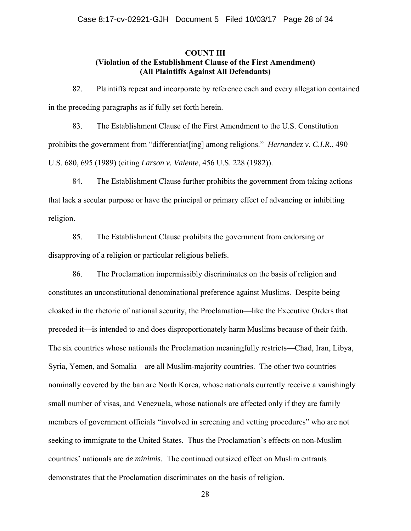## **COUNT III (Violation of the Establishment Clause of the First Amendment) (All Plaintiffs Against All Defendants)**

82. Plaintiffs repeat and incorporate by reference each and every allegation contained in the preceding paragraphs as if fully set forth herein.

83. The Establishment Clause of the First Amendment to the U.S. Constitution prohibits the government from "differentiat[ing] among religions." *Hernandez v. C.I.R.*, 490 U.S. 680, 695 (1989) (citing *Larson v. Valente*, 456 U.S. 228 (1982)).

84. The Establishment Clause further prohibits the government from taking actions that lack a secular purpose or have the principal or primary effect of advancing or inhibiting religion.

85. The Establishment Clause prohibits the government from endorsing or disapproving of a religion or particular religious beliefs.

86. The Proclamation impermissibly discriminates on the basis of religion and constitutes an unconstitutional denominational preference against Muslims. Despite being cloaked in the rhetoric of national security, the Proclamation—like the Executive Orders that preceded it—is intended to and does disproportionately harm Muslims because of their faith. The six countries whose nationals the Proclamation meaningfully restricts—Chad, Iran, Libya, Syria, Yemen, and Somalia—are all Muslim-majority countries. The other two countries nominally covered by the ban are North Korea, whose nationals currently receive a vanishingly small number of visas, and Venezuela, whose nationals are affected only if they are family members of government officials "involved in screening and vetting procedures" who are not seeking to immigrate to the United States. Thus the Proclamation's effects on non-Muslim countries' nationals are *de minimis*. The continued outsized effect on Muslim entrants demonstrates that the Proclamation discriminates on the basis of religion.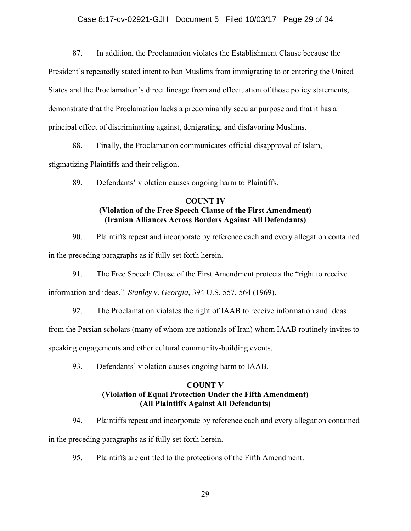87. In addition, the Proclamation violates the Establishment Clause because the

President's repeatedly stated intent to ban Muslims from immigrating to or entering the United States and the Proclamation's direct lineage from and effectuation of those policy statements, demonstrate that the Proclamation lacks a predominantly secular purpose and that it has a principal effect of discriminating against, denigrating, and disfavoring Muslims.

88. Finally, the Proclamation communicates official disapproval of Islam, stigmatizing Plaintiffs and their religion.

89. Defendants' violation causes ongoing harm to Plaintiffs.

# **COUNT IV (Violation of the Free Speech Clause of the First Amendment) (Iranian Alliances Across Borders Against All Defendants)**

90. Plaintiffs repeat and incorporate by reference each and every allegation contained in the preceding paragraphs as if fully set forth herein.

91. The Free Speech Clause of the First Amendment protects the "right to receive

information and ideas." *Stanley v. Georgia*, 394 U.S. 557, 564 (1969).

92. The Proclamation violates the right of IAAB to receive information and ideas

from the Persian scholars (many of whom are nationals of Iran) whom IAAB routinely invites to

speaking engagements and other cultural community-building events.

93. Defendants' violation causes ongoing harm to IAAB.

# **COUNT V (Violation of Equal Protection Under the Fifth Amendment) (All Plaintiffs Against All Defendants)**

94. Plaintiffs repeat and incorporate by reference each and every allegation contained in the preceding paragraphs as if fully set forth herein.

95. Plaintiffs are entitled to the protections of the Fifth Amendment.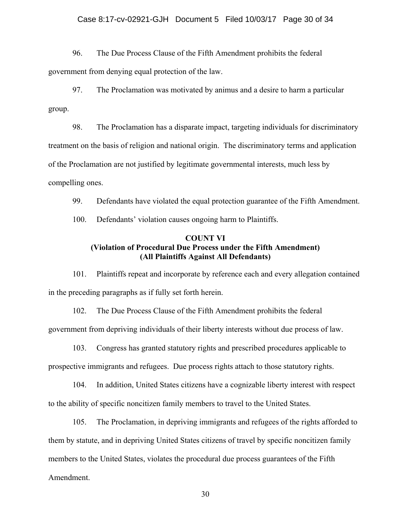### Case 8:17-cv-02921-GJH Document 5 Filed 10/03/17 Page 30 of 34

96. The Due Process Clause of the Fifth Amendment prohibits the federal government from denying equal protection of the law.

97. The Proclamation was motivated by animus and a desire to harm a particular group.

98. The Proclamation has a disparate impact, targeting individuals for discriminatory treatment on the basis of religion and national origin. The discriminatory terms and application of the Proclamation are not justified by legitimate governmental interests, much less by compelling ones.

99. Defendants have violated the equal protection guarantee of the Fifth Amendment.

100. Defendants' violation causes ongoing harm to Plaintiffs.

# **COUNT VI (Violation of Procedural Due Process under the Fifth Amendment) (All Plaintiffs Against All Defendants)**

101. Plaintiffs repeat and incorporate by reference each and every allegation contained in the preceding paragraphs as if fully set forth herein.

102. The Due Process Clause of the Fifth Amendment prohibits the federal government from depriving individuals of their liberty interests without due process of law.

103. Congress has granted statutory rights and prescribed procedures applicable to prospective immigrants and refugees. Due process rights attach to those statutory rights.

104. In addition, United States citizens have a cognizable liberty interest with respect to the ability of specific noncitizen family members to travel to the United States.

105. The Proclamation, in depriving immigrants and refugees of the rights afforded to them by statute, and in depriving United States citizens of travel by specific noncitizen family members to the United States, violates the procedural due process guarantees of the Fifth Amendment.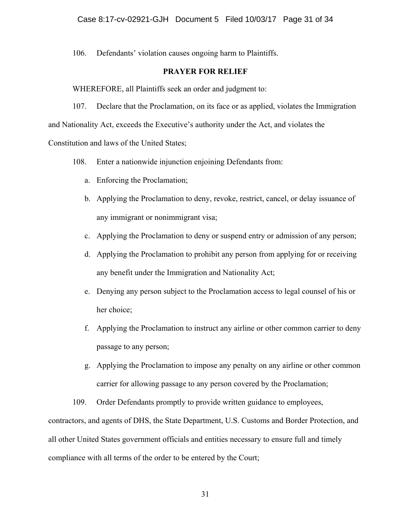106. Defendants' violation causes ongoing harm to Plaintiffs.

# **PRAYER FOR RELIEF**

WHEREFORE, all Plaintiffs seek an order and judgment to:

107. Declare that the Proclamation, on its face or as applied, violates the Immigration and Nationality Act, exceeds the Executive's authority under the Act, and violates the Constitution and laws of the United States;

- 108. Enter a nationwide injunction enjoining Defendants from:
	- a. Enforcing the Proclamation;
	- b. Applying the Proclamation to deny, revoke, restrict, cancel, or delay issuance of any immigrant or nonimmigrant visa;
	- c. Applying the Proclamation to deny or suspend entry or admission of any person;
	- d. Applying the Proclamation to prohibit any person from applying for or receiving any benefit under the Immigration and Nationality Act;
	- e. Denying any person subject to the Proclamation access to legal counsel of his or her choice;
	- f. Applying the Proclamation to instruct any airline or other common carrier to deny passage to any person;
	- g. Applying the Proclamation to impose any penalty on any airline or other common carrier for allowing passage to any person covered by the Proclamation;

109. Order Defendants promptly to provide written guidance to employees, contractors, and agents of DHS, the State Department, U.S. Customs and Border Protection, and all other United States government officials and entities necessary to ensure full and timely compliance with all terms of the order to be entered by the Court;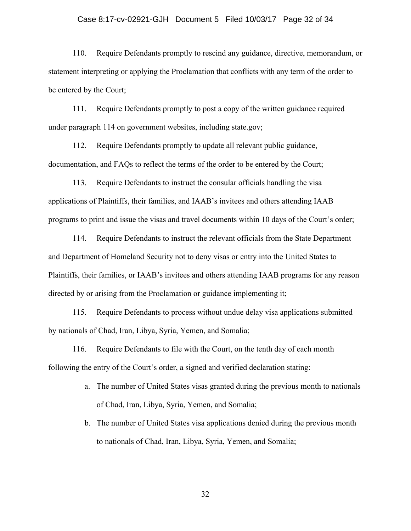#### Case 8:17-cv-02921-GJH Document 5 Filed 10/03/17 Page 32 of 34

110. Require Defendants promptly to rescind any guidance, directive, memorandum, or statement interpreting or applying the Proclamation that conflicts with any term of the order to be entered by the Court;

111. Require Defendants promptly to post a copy of the written guidance required under paragraph 114 on government websites, including state.gov;

112. Require Defendants promptly to update all relevant public guidance, documentation, and FAQs to reflect the terms of the order to be entered by the Court;

113. Require Defendants to instruct the consular officials handling the visa applications of Plaintiffs, their families, and IAAB's invitees and others attending IAAB programs to print and issue the visas and travel documents within 10 days of the Court's order;

114. Require Defendants to instruct the relevant officials from the State Department and Department of Homeland Security not to deny visas or entry into the United States to Plaintiffs, their families, or IAAB's invitees and others attending IAAB programs for any reason directed by or arising from the Proclamation or guidance implementing it;

115. Require Defendants to process without undue delay visa applications submitted by nationals of Chad, Iran, Libya, Syria, Yemen, and Somalia;

116. Require Defendants to file with the Court, on the tenth day of each month following the entry of the Court's order, a signed and verified declaration stating:

- a. The number of United States visas granted during the previous month to nationals of Chad, Iran, Libya, Syria, Yemen, and Somalia;
- b. The number of United States visa applications denied during the previous month to nationals of Chad, Iran, Libya, Syria, Yemen, and Somalia;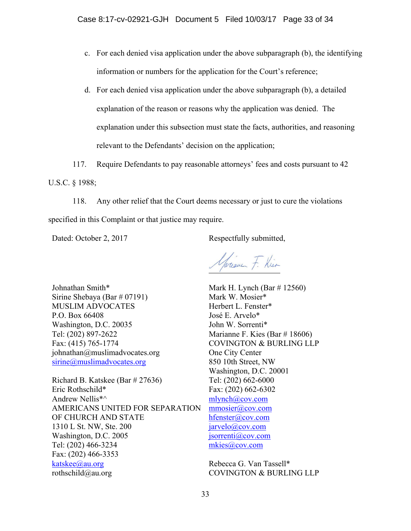- c. For each denied visa application under the above subparagraph (b), the identifying information or numbers for the application for the Court's reference;
- d. For each denied visa application under the above subparagraph (b), a detailed explanation of the reason or reasons why the application was denied. The explanation under this subsection must state the facts, authorities, and reasoning relevant to the Defendants' decision on the application;
- 117. Require Defendants to pay reasonable attorneys' fees and costs pursuant to 42

U.S.C. § 1988;

118. Any other relief that the Court deems necessary or just to cure the violations specified in this Complaint or that justice may require.

Dated: October 2, 2017 Respectfully submitted,

Jarien F. Kier

Johnathan Smith\* Sirine Shebaya (Bar # 07191) MUSLIM ADVOCATES P.O. Box 66408 Washington, D.C. 20035 Tel: (202) 897-2622 Fax: (415) 765-1774 johnathan@muslimadvocates.org sirine@muslimadvocates.org

Richard B. Katskee (Bar # 27636) Eric Rothschild\* Andrew Nellis\*^ AMERICANS UNITED FOR SEPARATION OF CHURCH AND STATE 1310 L St. NW, Ste. 200 Washington, D.C. 2005 Tel: (202) 466-3234 Fax: (202) 466-3353 katskee@au.org rothschild@au.org

Mark H. Lynch (Bar # 12560) Mark W. Mosier\* Herbert L. Fenster\* José E. Arvelo\* John W. Sorrenti\* Marianne F. Kies (Bar # 18606) COVINGTON & BURLING LLP One City Center 850 10th Street, NW Washington, D.C. 20001 Tel: (202) 662-6000 Fax: (202) 662-6302 mlynch@cov.com mmosier@cov.com hfenster@cov.com jarvelo@cov.com jsorrenti@cov.com mkies@cov.com

Rebecca G. Van Tassell\* COVINGTON & BURLING LLP